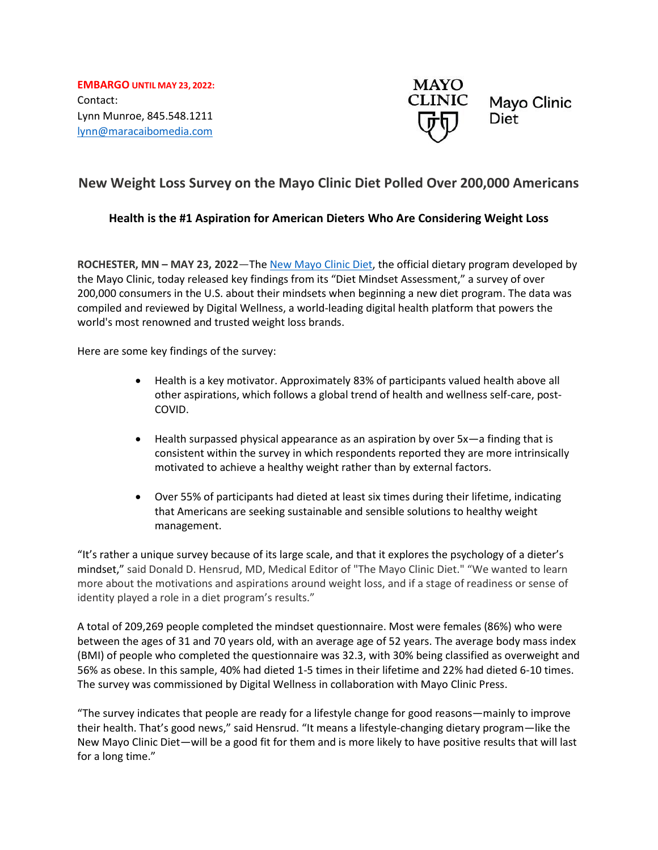**EMBARGO UNTIL MAY 23, 2022:** Contact: Lynn Munroe, 845.548.1211 [lynn@maracaibomedia.com](mailto:lynn@maracaibomedia.com) 



# **New Weight Loss Survey on the Mayo Clinic Diet Polled Over 200,000 Americans**

# **Health is the #1 Aspiration for American Dieters Who Are Considering Weight Loss**

**ROCHESTER, MN – MAY 23, 2022**—The [New Mayo Clinic Diet,](https://diet.mayoclinic.org/us/) the official dietary program developed by the Mayo Clinic, today released key findings from its "Diet Mindset Assessment," a survey of over 200,000 consumers in the U.S. about their mindsets when beginning a new diet program. The data was compiled and reviewed by Digital Wellness, a world-leading digital health platform that powers the world's most renowned and trusted weight loss brands.

Here are some key findings of the survey:

- Health is a key motivator. Approximately 83% of participants valued health above all other aspirations, which follows a global trend of health and wellness self-care, post-COVID.
- Health surpassed physical appearance as an aspiration by over 5x—a finding that is consistent within the survey in which respondents reported they are more intrinsically motivated to achieve a healthy weight rather than by external factors.
- Over 55% of participants had dieted at least six times during their lifetime, indicating that Americans are seeking sustainable and sensible solutions to healthy weight management.

"It's rather a unique survey because of its large scale, and that it explores the psychology of a dieter's mindset," said Donald D. Hensrud, MD, Medical Editor of "The Mayo Clinic Diet." "We wanted to learn more about the motivations and aspirations around weight loss, and if a stage of readiness or sense of identity played a role in a diet program's results."

A total of 209,269 people completed the mindset questionnaire. Most were females (86%) who were between the ages of 31 and 70 years old, with an average age of 52 years. The average body mass index (BMI) of people who completed the questionnaire was 32.3, with 30% being classified as overweight and 56% as obese. In this sample, 40% had dieted 1-5 times in their lifetime and 22% had dieted 6-10 times. The survey was commissioned by Digital Wellness in collaboration with Mayo Clinic Press.

"The survey indicates that people are ready for a lifestyle change for good reasons—mainly to improve their health. That's good news," said Hensrud. "It means a lifestyle-changing dietary program—like the New Mayo Clinic Diet—will be a good fit for them and is more likely to have positive results that will last for a long time."